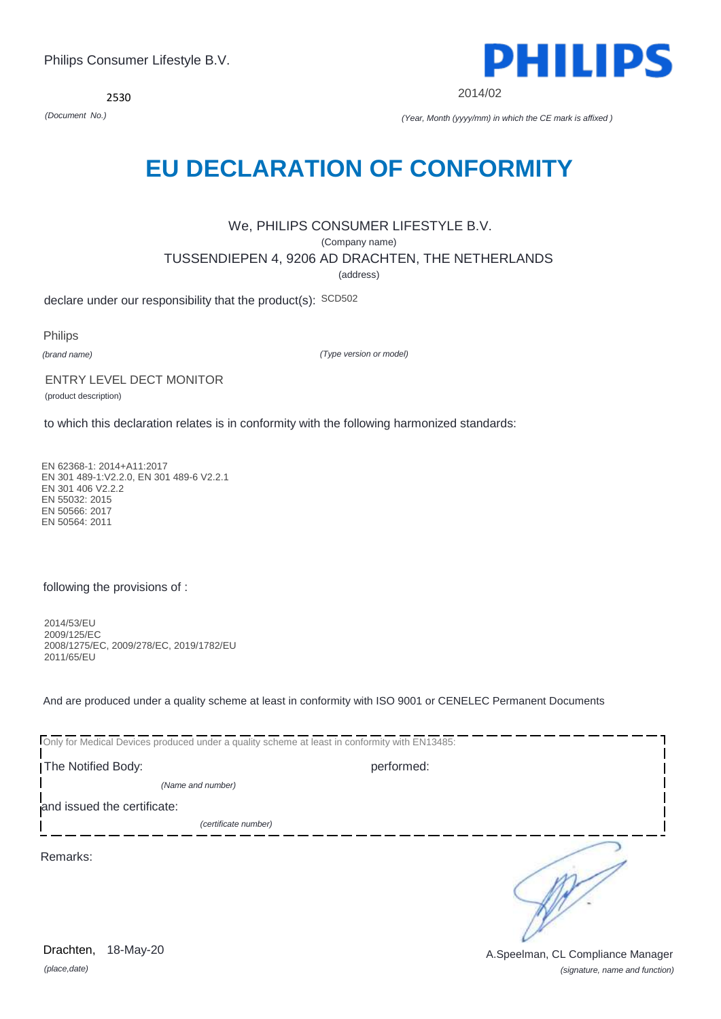*(place,date)* 18-May-20

*(signature, name and function)* Drachten, 18-May-20 **Drachten**, 18-May-20

2530

# **EU DECLARATION OF CONFORMITY**

We, PHILIPS CONSUMER LIFESTYLE B.V. (Company name) TUSSENDIEPEN 4, 9206 AD DRACHTEN, THE NETHERLANDS (address)

declare under our responsibility that the product(s): SCD502

Philips

*(brand name)*

*(Type version or model)*

# ENTRY LEVEL DECT MONITOR

(product description)

to which this declaration relates is in conformity with the following harmonized standards:

EN 62368-1: 2014+A11:2017 EN 301 489-1:V2.2.0, EN 301 489-6 V2.2.1 EN 301 406 V2.2.2 EN 55032: 2015 EN 50566: 2017 EN 50564: 2011

### following the provisions of :

2014/53/EU 2009/125/EC 2008/1275/EC, 2009/278/EC, 2019/1782/EU 2011/65/EU

And are produced under a quality scheme at least in conformity with ISO 9001 or CENELEC Permanent Documents

| Only for Medical Devices produced under a quality scheme at least in conformity with EN13485: |            |  |
|-----------------------------------------------------------------------------------------------|------------|--|
| The Notified Body:                                                                            | performed: |  |
| (Name and number)                                                                             |            |  |
| and issued the certificate:                                                                   |            |  |
| (certificate number)                                                                          |            |  |
| Remarks:                                                                                      |            |  |



2014/02

*(Document No.) (Year, Month (yyyy/mm) in which the CE mark is affixed )*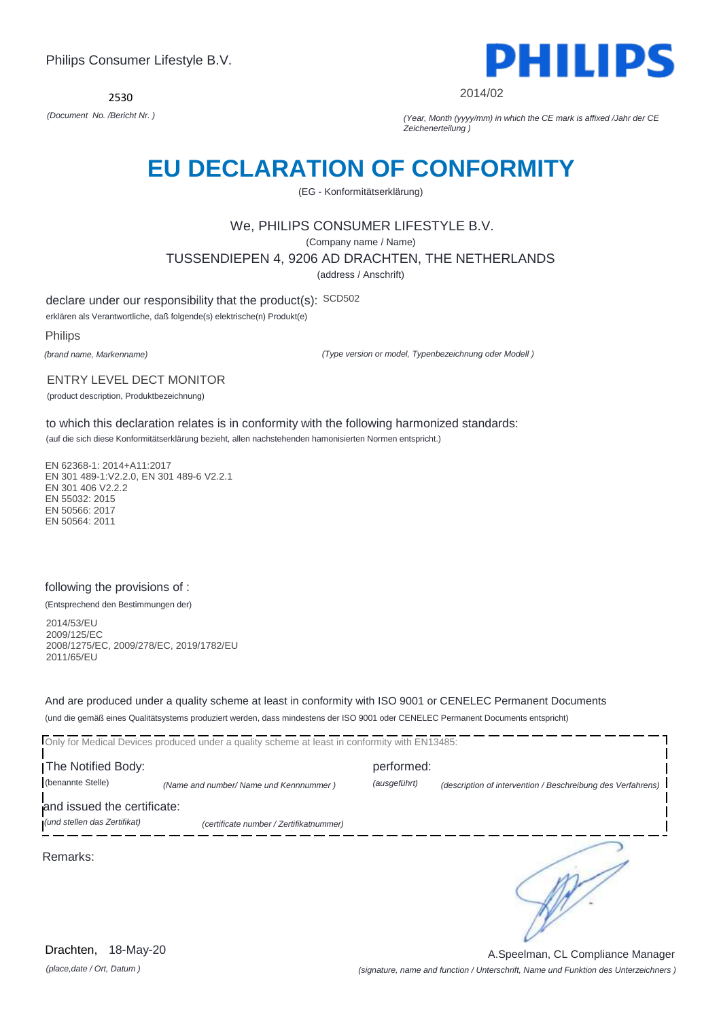2530



2014/02

*(Document No. /Bericht Nr. ) (Year, Month (yyyy/mm) in which the CE mark is affixed /Jahr der CE Zeichenerteilung )*

# **EU DECLARATION OF CONFORMITY**

(EG - Konformitätserklärung)

# We, PHILIPS CONSUMER LIFESTYLE B.V.

(Company name / Name)

#### TUSSENDIEPEN 4, 9206 AD DRACHTEN, THE NETHERLANDS

(address / Anschrift)

declare under our responsibility that the product(s): SCD502

erklären als Verantwortliche, daß folgende(s) elektrische(n) Produkt(e)

Philips

*(brand name, Markenname)*

*(Type version or model, Typenbezeichnung oder Modell )*

#### ENTRY LEVEL DECT MONITOR

(product description, Produktbezeichnung)

to which this declaration relates is in conformity with the following harmonized standards:

(auf die sich diese Konformitätserklärung bezieht, allen nachstehenden hamonisierten Normen entspricht.)

EN 62368-1: 2014+A11:2017 EN 301 489-1:V2.2.0, EN 301 489-6 V2.2.1 EN 301 406 V2.2.2 EN 55032: 2015 EN 50566: 2017 EN 50564: 2011

### following the provisions of :

(Entsprechend den Bestimmungen der)

2014/53/EU 2009/125/EC 2008/1275/EC, 2009/278/EC, 2019/1782/EU 2011/65/EU

And are produced under a quality scheme at least in conformity with ISO 9001 or CENELEC Permanent Documents (und die gemäß eines Qualitätsystems produziert werden, dass mindestens der ISO 9001 oder CENELEC Permanent Documents entspricht)

Only for Medical Devices produced under a quality scheme at least in conformity with EN13485: The Notified Body: performed: (benannte Stelle) *(Name and number/ Name und Kennnummer ) (ausgeführt) (description of intervention / Beschreibung des Verfahrens)*  and issued the certificate: *(und stellen das Zertifikat) (certificate number / Zertifikatnummer)* ∍ Remarks: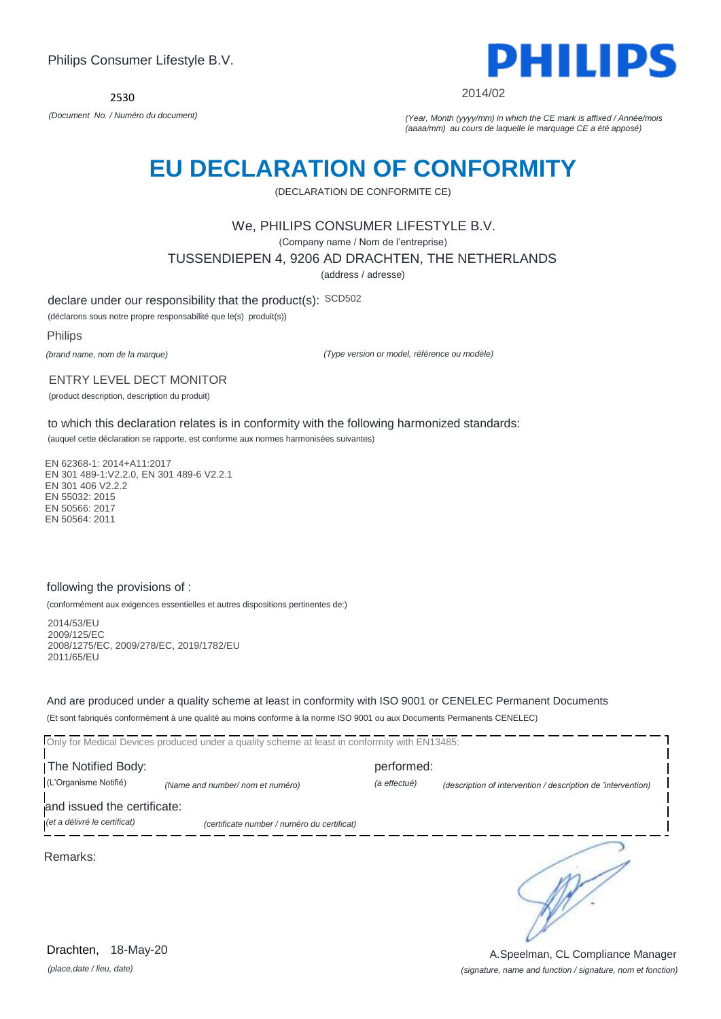2530



2014/02

*(Document No. / Numéro du document) (Year, Month (yyyy/mm) in which the CE mark is affixed / Année/mois (aaaa/mm) au cours de laquelle le marquage CE a été apposé)*

# **EU DECLARATION OF CONFORMITY**

(DECLARATION DE CONFORMITE CE)

# We, PHILIPS CONSUMER LIFESTYLE B.V.

(Company name / Nom de l'entreprise)

TUSSENDIEPEN 4, 9206 AD DRACHTEN, THE NETHERLANDS

(address / adresse)

declare under our responsibility that the product(s): SCD502

(déclarons sous notre propre responsabilité que le(s) produit(s))

Philips

*(brand name, nom de la marque)*

*(Type version or model, référence ou modèle)*

#### ENTRY LEVEL DECT MONITOR

(product description, description du produit)

to which this declaration relates is in conformity with the following harmonized standards: (auquel cette déclaration se rapporte, est conforme aux normes harmonisées suivantes)

EN 62368-1: 2014+A11:2017 EN 301 489-1:V2.2.0, EN 301 489-6 V2.2.1 EN 301 406 V2.2.2 EN 55032: 2015 EN 50566: 2017 EN 50564: 2011

### following the provisions of :

(conformément aux exigences essentielles et autres dispositions pertinentes de:)

2014/53/EU 2009/125/EC 2008/1275/EC, 2009/278/EC, 2019/1782/EU 2011/65/EU

And are produced under a quality scheme at least in conformity with ISO 9001 or CENELEC Permanent Documents (Et sont fabriqués conformément à une qualité au moins conforme à la norme ISO 9001 ou aux Documents Permanents CENELEC)

Only for Medical Devices produced under a quality scheme at least in conformity with EN13485:

**The Notified Body: performed:** (L'Organisme Notifié) *(Name and number/ nom et numéro) (a effectué) (description of intervention / description de 'intervention)* 

and issued the certificate:

*(et a délivré le certificat) (certificate number / numéro du certificat)*

Remarks:

*(place,date / lieu, date)* Drachten, 18-May-20

*(signature, name and function / signature, nom et fonction)* A.Speelman, CL Compliance Manager

∍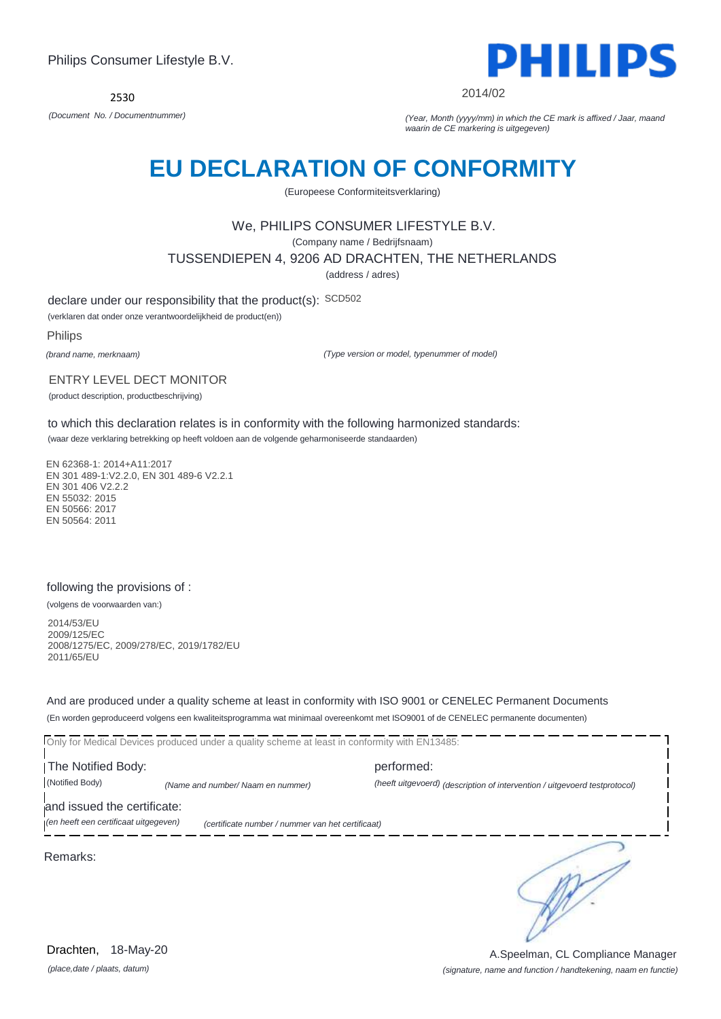

2014/02

*(Document No. / Documentnummer) (Year, Month (yyyy/mm) in which the CE mark is affixed / Jaar, maand waarin de CE markering is uitgegeven)*

# **EU DECLARATION OF CONFORMITY**

(Europeese Conformiteitsverklaring)

### We, PHILIPS CONSUMER LIFESTYLE B.V.

(Company name / Bedrijfsnaam)

TUSSENDIEPEN 4, 9206 AD DRACHTEN, THE NETHERLANDS

(address / adres)

declare under our responsibility that the product(s): SCD502

(verklaren dat onder onze verantwoordelijkheid de product(en))

Philips

*(brand name, merknaam)*

*(Type version or model, typenummer of model)*

#### ENTRY LEVEL DECT MONITOR

(product description, productbeschrijving)

to which this declaration relates is in conformity with the following harmonized standards: (waar deze verklaring betrekking op heeft voldoen aan de volgende geharmoniseerde standaarden)

EN 62368-1: 2014+A11:2017 EN 301 489-1:V2.2.0, EN 301 489-6 V2.2.1 EN 301 406 V2.2.2 EN 55032: 2015 EN 50566: 2017 EN 50564: 2011

### following the provisions of :

(volgens de voorwaarden van:)

2014/53/EU 2009/125/EC 2008/1275/EC, 2009/278/EC, 2019/1782/EU 2011/65/EU

And are produced under a quality scheme at least in conformity with ISO 9001 or CENELEC Permanent Documents (En worden geproduceerd volgens een kwaliteitsprogramma wat minimaal overeenkomt met ISO9001 of de CENELEC permanente documenten)

Only for Medical Devices produced under a quality scheme at least in conformity with EN13485:

**The Notified Body: performed:** (Notified Body) *(Name and number/ Naam en nummer) (heeft uitgevoerd) (description of intervention / uitgevoerd testprotocol)* 

and issued the certificate:

*(en heeft een certificaat uitgegeven) (certificate number / nummer van het certificaat)*

Remarks:

∍

*(place,date / plaats, datum)* Drachten, 18-May-20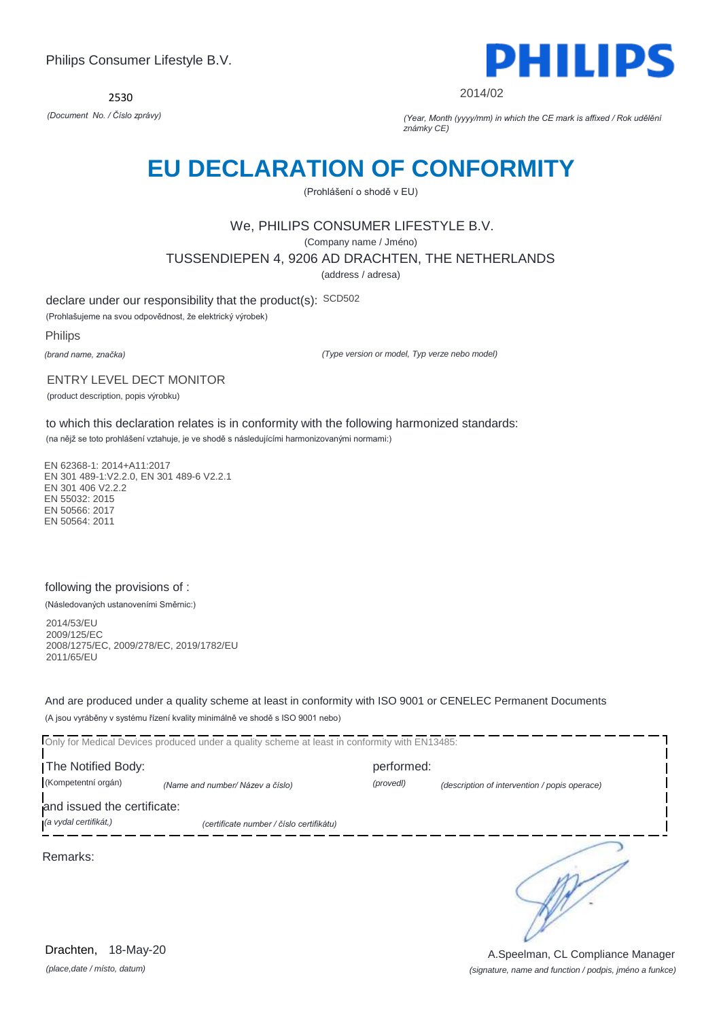2530



2014/02

*(Document No. / Číslo zprávy) (Year, Month (yyyy/mm) in which the CE mark is affixed / Rok udělění známky CE)*

# **EU DECLARATION OF CONFORMITY**

(Prohlášení o shodě v EU)

# We, PHILIPS CONSUMER LIFESTYLE B.V.

(Company name / Jméno)

TUSSENDIEPEN 4, 9206 AD DRACHTEN, THE NETHERLANDS

(address / adresa)

declare under our responsibility that the product(s): SCD502

(Prohlašujeme na svou odpovědnost, že elektrický výrobek)

Philips

*(brand name, značka)*

*(Type version or model, Typ verze nebo model)*

#### ENTRY LEVEL DECT MONITOR

(product description, popis výrobku)

to which this declaration relates is in conformity with the following harmonized standards:

(na nějž se toto prohlášení vztahuje, je ve shodě s následujícími harmonizovanými normami:)

EN 62368-1: 2014+A11:2017 EN 301 489-1:V2.2.0, EN 301 489-6 V2.2.1 EN 301 406 V2.2.2 EN 55032: 2015 EN 50566: 2017 EN 50564: 2011

### following the provisions of :

(Následovaných ustanoveními Směrnic:)

2014/53/EU 2009/125/EC 2008/1275/EC, 2009/278/EC, 2019/1782/EU 2011/65/EU

And are produced under a quality scheme at least in conformity with ISO 9001 or CENELEC Permanent Documents (A jsou vyráběny v systému řízení kvality minimálně ve shodě s ISO 9001 nebo)

Only for Medical Devices produced under a quality scheme at least in conformity with EN13485: The Notified Body: performed: (Kompetentní orgán) *(Name and number/ Název a číslo) (provedl) (description of intervention / popis operace)*  and issued the certificate: *(a vydal certifikát,) (certificate number / číslo certifikátu)* ∍ Remarks:

*(place,date / místo, datum)* Drachten, 18-May-20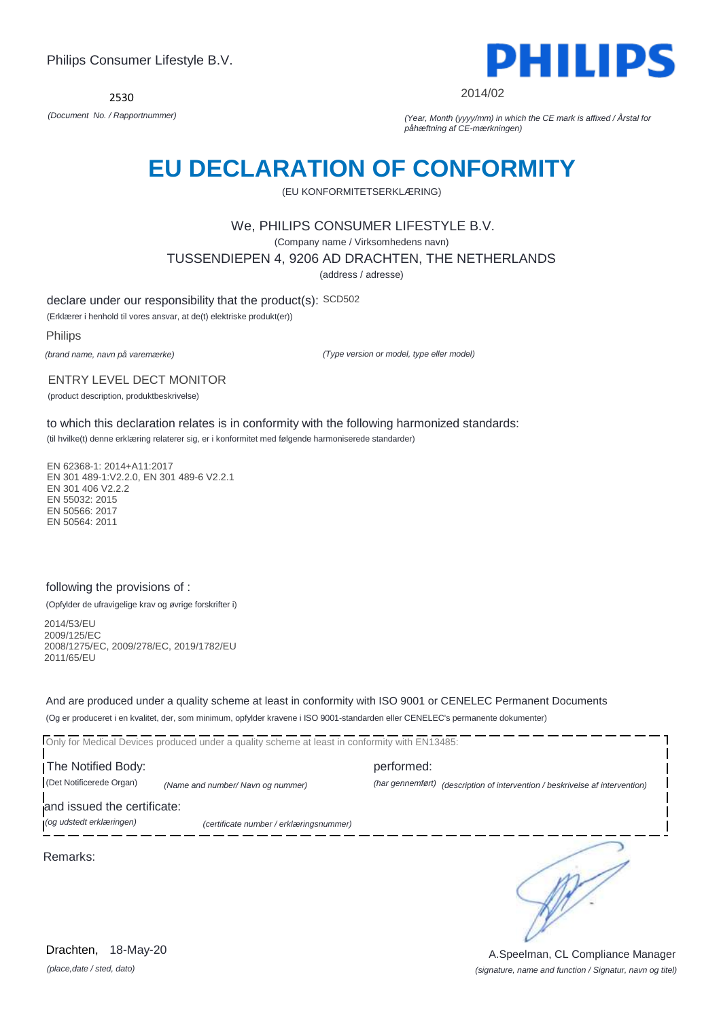2530



2014/02

*(Document No. / Rapportnummer) (Year, Month (yyyy/mm) in which the CE mark is affixed / Årstal for påhæftning af CE-mærkningen)*

# **EU DECLARATION OF CONFORMITY**

(EU KONFORMITETSERKLÆRING)

### We, PHILIPS CONSUMER LIFESTYLE B.V.

(Company name / Virksomhedens navn)

TUSSENDIEPEN 4, 9206 AD DRACHTEN, THE NETHERLANDS

(address / adresse)

declare under our responsibility that the product(s): SCD502

(Erklærer i henhold til vores ansvar, at de(t) elektriske produkt(er))

Philips

*(brand name, navn på varemærke)*

*(Type version or model, type eller model)*

#### ENTRY LEVEL DECT MONITOR

(product description, produktbeskrivelse)

to which this declaration relates is in conformity with the following harmonized standards:

(til hvilke(t) denne erklæring relaterer sig, er i konformitet med følgende harmoniserede standarder)

EN 62368-1: 2014+A11:2017 EN 301 489-1:V2.2.0, EN 301 489-6 V2.2.1 EN 301 406 V2.2.2 EN 55032: 2015 EN 50566: 2017 EN 50564: 2011

### following the provisions of :

(Opfylder de ufravigelige krav og øvrige forskrifter i)

2014/53/EU 2009/125/EC 2008/1275/EC, 2009/278/EC, 2019/1782/EU 2011/65/EU

And are produced under a quality scheme at least in conformity with ISO 9001 or CENELEC Permanent Documents (Og er produceret i en kvalitet, der, som minimum, opfylder kravene i ISO 9001-standarden eller CENELEC's permanente dokumenter)

Only for Medical Devices produced under a quality scheme at least in conformity with EN13485:

The Notified Body: example and performed: performed: (Det Notificerede Organ) *(Name and number/ Navn og nummer) (har gennemført) (description of intervention / beskrivelse af intervention)* 

and issued the certificate:

*(og udstedt erklæringen) (certificate number / erklæringsnummer)*

Remarks:

*(place,date / sted, dato)* Drachten, 18-May-20

*(signature, name and function / Signatur, navn og titel)* A.Speelman, CL Compliance Manager

∍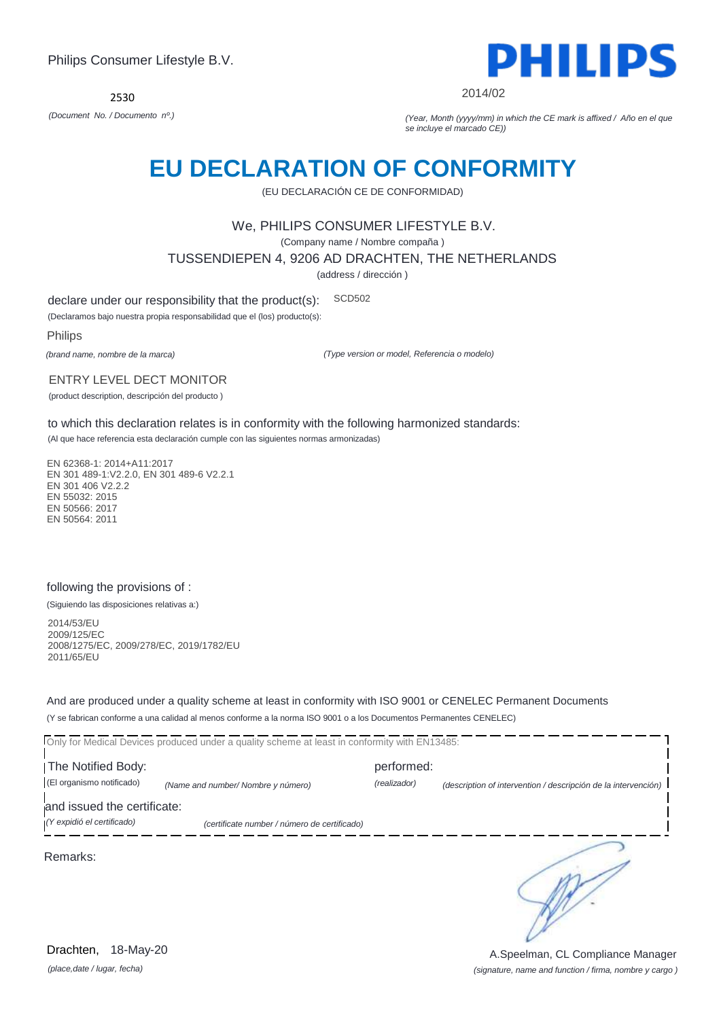

2014/02

*(Document No. / Documento nº.) (Year, Month (yyyy/mm) in which the CE mark is affixed / Año en el que se incluye el marcado CE))*

# **EU DECLARATION OF CONFORMITY**

(EU DECLARACIÓN CE DE CONFORMIDAD)

### We, PHILIPS CONSUMER LIFESTYLE B.V.

(Company name / Nombre compaña )

TUSSENDIEPEN 4, 9206 AD DRACHTEN, THE NETHERLANDS

(address / dirección )

declare under our responsibility that the product(s): SCD502

(Declaramos bajo nuestra propia responsabilidad que el (los) producto(s):

Philips

*(brand name, nombre de la marca)*

*(Type version or model, Referencia o modelo)*

#### ENTRY LEVEL DECT MONITOR

(product description, descripción del producto )

to which this declaration relates is in conformity with the following harmonized standards:

(Al que hace referencia esta declaración cumple con las siguientes normas armonizadas)

EN 62368-1: 2014+A11:2017 EN 301 489-1:V2.2.0, EN 301 489-6 V2.2.1 EN 301 406 V2.2.2 EN 55032: 2015 EN 50566: 2017 EN 50564: 2011

### following the provisions of :

(Siguiendo las disposiciones relativas a:)

2014/53/EU 2009/125/EC 2008/1275/EC, 2009/278/EC, 2019/1782/EU 2011/65/EU

And are produced under a quality scheme at least in conformity with ISO 9001 or CENELEC Permanent Documents (Y se fabrican conforme a una calidad al menos conforme a la norma ISO 9001 o a los Documentos Permanentes CENELEC)

|                                                           | Only for Medical Devices produced under a quality scheme at least in conformity with EN13485: |              |                                                                |
|-----------------------------------------------------------|-----------------------------------------------------------------------------------------------|--------------|----------------------------------------------------------------|
| The Notified Body:                                        |                                                                                               | performed:   |                                                                |
| (El organismo notificado)                                 | (Name and number/ Nombre y número)                                                            | (realizador) | (description of intervention / descripción de la intervención) |
| and issued the certificate:<br>(Y expidió el certificado) | (certificate number / número de certificado)                                                  |              |                                                                |
| Remarks:                                                  |                                                                                               |              |                                                                |

*(place,date / lugar, fecha)* Drachten, 18-May-20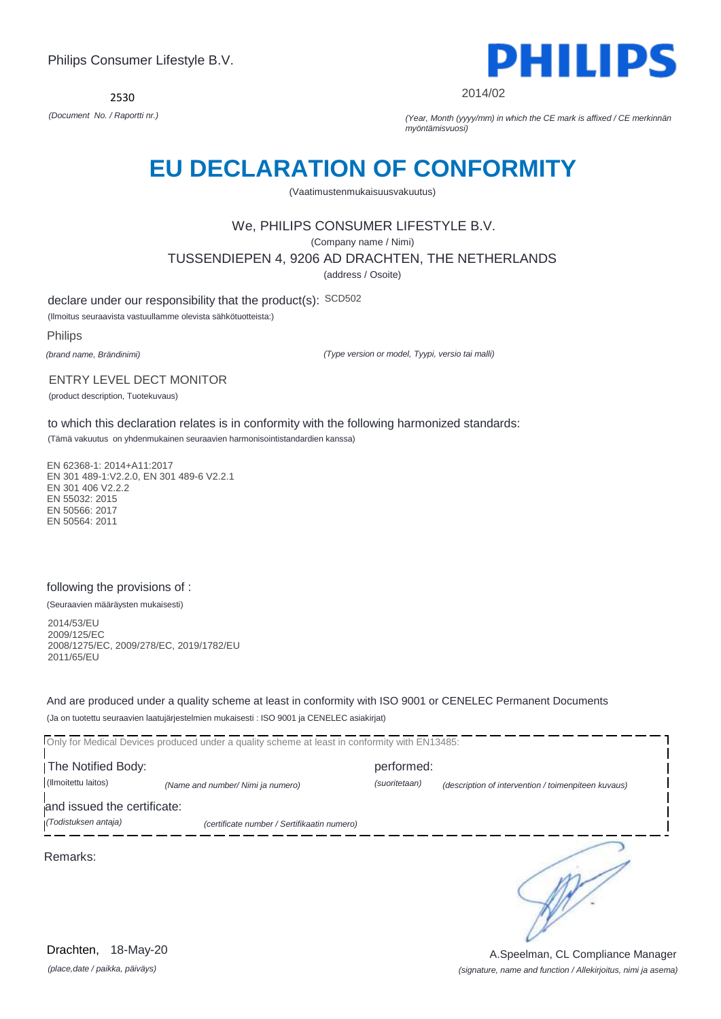2530



2014/02

*(Document No. / Raportti nr.) (Year, Month (yyyy/mm) in which the CE mark is affixed / CE merkinnän myöntämisvuosi)*

# **EU DECLARATION OF CONFORMITY**

(Vaatimustenmukaisuusvakuutus)

# We, PHILIPS CONSUMER LIFESTYLE B.V.

(Company name / Nimi)

TUSSENDIEPEN 4, 9206 AD DRACHTEN, THE NETHERLANDS

(address / Osoite)

declare under our responsibility that the product(s): SCD502

(Ilmoitus seuraavista vastuullamme olevista sähkötuotteista:)

Philips

*(brand name, Brändinimi)*

*(Type version or model, Tyypi, versio tai malli)*

#### ENTRY LEVEL DECT MONITOR

(product description, Tuotekuvaus)

to which this declaration relates is in conformity with the following harmonized standards:

(Tämä vakuutus on yhdenmukainen seuraavien harmonisointistandardien kanssa)

EN 62368-1: 2014+A11:2017 EN 301 489-1:V2.2.0, EN 301 489-6 V2.2.1 EN 301 406 V2.2.2 EN 55032: 2015 EN 50566: 2017 EN 50564: 2011

### following the provisions of :

(Seuraavien määräysten mukaisesti)

2014/53/EU 2009/125/EC 2008/1275/EC, 2009/278/EC, 2019/1782/EU 2011/65/EU

And are produced under a quality scheme at least in conformity with ISO 9001 or CENELEC Permanent Documents (Ja on tuotettu seuraavien laatujärjestelmien mukaisesti : ISO 9001 ja CENELEC asiakirjat)

Only for Medical Devices produced under a quality scheme at least in conformity with EN13485: **The Notified Body: performed:** (Ilmoitettu laitos) *(Name and number/ Nimi ja numero) (suoritetaan) (description of intervention / toimenpiteen kuvaus)*  and issued the certificate: *(Todistuksen antaja) (certificate number / Sertifikaatin numero)* ∍ Remarks:

*(place,date / paikka, päiväys)* Drachten, 18-May-20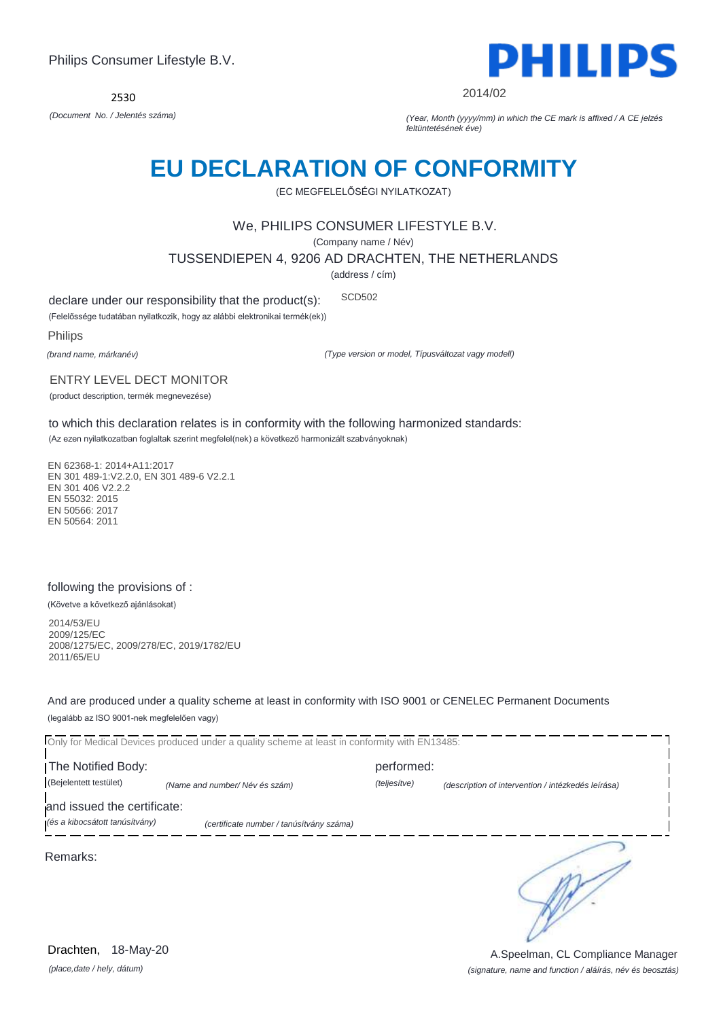2530



2014/02

*(Document No. / Jelentés száma) (Year, Month (yyyy/mm) in which the CE mark is affixed / A CE jelzés feltüntetésének éve)*

# **EU DECLARATION OF CONFORMITY**

(EC MEGFELELŐSÉGI NYILATKOZAT)

# We, PHILIPS CONSUMER LIFESTYLE B.V.

(Company name / Név)

TUSSENDIEPEN 4, 9206 AD DRACHTEN, THE NETHERLANDS

(address / cím)

declare under our responsibility that the product(s): SCD502

(Felelőssége tudatában nyilatkozik, hogy az alábbi elektronikai termék(ek))

Philips

*(brand name, márkanév)*

*(Type version or model, Típusváltozat vagy modell)*

#### ENTRY LEVEL DECT MONITOR

(product description, termék megnevezése)

to which this declaration relates is in conformity with the following harmonized standards:

(Az ezen nyilatkozatban foglaltak szerint megfelel(nek) a következő harmonizált szabványoknak)

EN 62368-1: 2014+A11:2017 EN 301 489-1:V2.2.0, EN 301 489-6 V2.2.1 EN 301 406 V2.2.2. EN 55032: 2015 EN 50566: 2017 EN 50564: 2011

# following the provisions of :

(Követve a következő ajánlásokat)

2014/53/EU 2009/125/EC 2008/1275/EC, 2009/278/EC, 2019/1782/EU 2011/65/EU

And are produced under a quality scheme at least in conformity with ISO 9001 or CENELEC Permanent Documents (legalább az ISO 9001-nek megfelelően vagy)

Only for Medical Devices produced under a quality scheme at least in conformity with EN13485: The Notified Body: example and performed: performed: (Bejelentett testület) *(Name and number/ Név és szám) (teljesítve) (description of intervention / intézkedés leírása)*  and issued the certificate: *(és a kibocsátott tanúsítvány) (certificate number / tanúsítvány száma)* ∍ Remarks:

*(place,date / hely, dátum)* Drachten, 18-May-20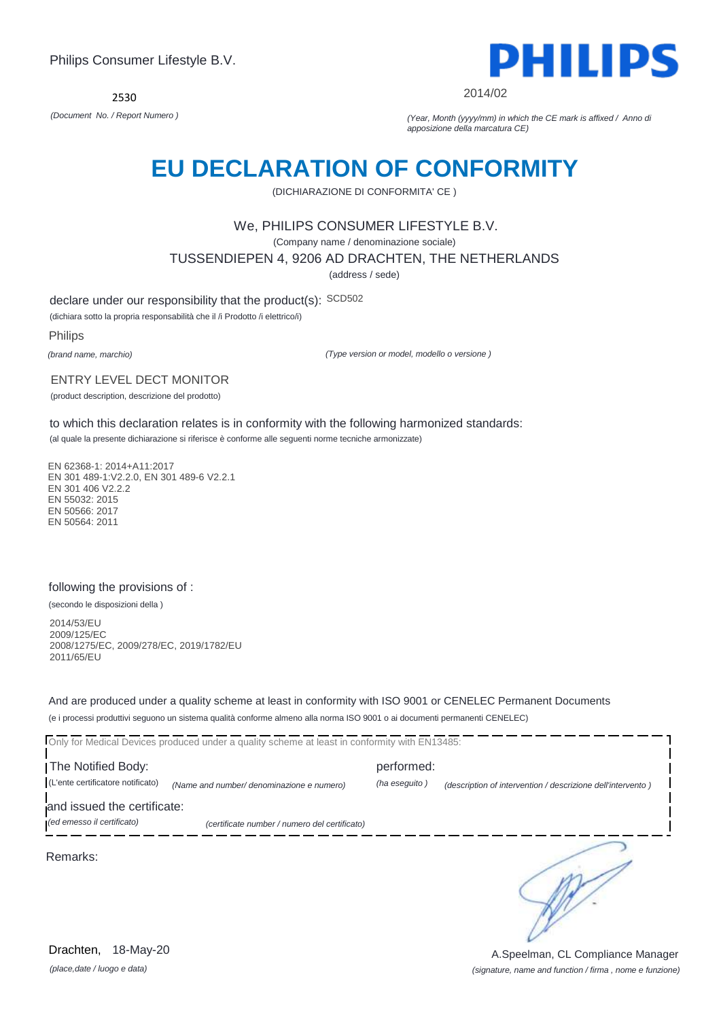

2014/02

*(Document No. / Report Numero ) (Year, Month (yyyy/mm) in which the CE mark is affixed / Anno di apposizione della marcatura CE)*

# **EU DECLARATION OF CONFORMITY**

(DICHIARAZIONE DI CONFORMITA' CE )

# We, PHILIPS CONSUMER LIFESTYLE B.V.

(Company name / denominazione sociale)

TUSSENDIEPEN 4, 9206 AD DRACHTEN, THE NETHERLANDS

(address / sede)

declare under our responsibility that the product(s): SCD502

(dichiara sotto la propria responsabilità che il /i Prodotto /i elettrico/i)

Philips

*(brand name, marchio)*

*(Type version or model, modello o versione )*

#### ENTRY LEVEL DECT MONITOR

(product description, descrizione del prodotto)

to which this declaration relates is in conformity with the following harmonized standards:

(al quale la presente dichiarazione si riferisce è conforme alle seguenti norme tecniche armonizzate)

EN 62368-1: 2014+A11:2017 EN 301 489-1:V2.2.0, EN 301 489-6 V2.2.1 EN 301 406 V2.2.2 EN 55032: 2015 EN 50566: 2017 EN 50564: 2011

### following the provisions of :

(secondo le disposizioni della )

2014/53/EU 2009/125/EC 2008/1275/EC, 2009/278/EC, 2019/1782/EU 2011/65/EU

And are produced under a quality scheme at least in conformity with ISO 9001 or CENELEC Permanent Documents (e i processi produttivi seguono un sistema qualità conforme almeno alla norma ISO 9001 o ai documenti permanenti CENELEC)

| The Notified Body:                |                                               | performed:    |                                                             |
|-----------------------------------|-----------------------------------------------|---------------|-------------------------------------------------------------|
| (L'ente certificatore notificato) | (Name and number/ denominazione e numero)     | (ha eseguito) | (description of intervention / descrizione dell'intervento) |
| and issued the certificate:       |                                               |               |                                                             |
| (ed emesso il certificato)        | (certificate number / numero del certificato) |               |                                                             |
| Remarks:                          |                                               |               |                                                             |

*(place,date / luogo e data)* Drachten, 18-May-20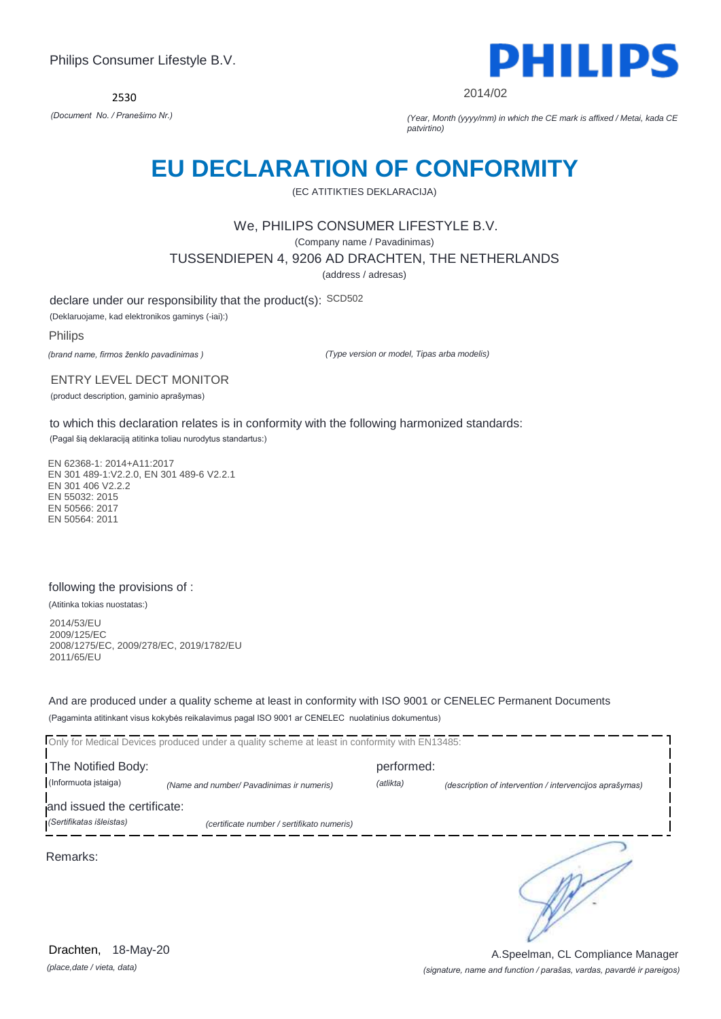2530



2014/02

*(Document No. / Pranešimo Nr.) (Year, Month (yyyy/mm) in which the CE mark is affixed / Metai, kada CE patvirtino)*

# **EU DECLARATION OF CONFORMITY**

(EC ATITIKTIES DEKLARACIJA)

### We, PHILIPS CONSUMER LIFESTYLE B.V.

(Company name / Pavadinimas)

TUSSENDIEPEN 4, 9206 AD DRACHTEN, THE NETHERLANDS

(address / adresas)

declare under our responsibility that the product(s): SCD502

(Deklaruojame, kad elektronikos gaminys (-iai):)

Philips

*(brand name, firmos ženklo pavadinimas )*

*(Type version or model, Tipas arba modelis)*

ENTRY LEVEL DECT MONITOR

(product description, gaminio aprašymas)

to which this declaration relates is in conformity with the following harmonized standards:

(Pagal šią deklaraciją atitinka toliau nurodytus standartus:)

EN 62368-1: 2014+A11:2017 EN 301 489-1:V2.2.0, EN 301 489-6 V2.2.1 EN 301 406 V2.2.2 EN 55032: 2015 EN 50566: 2017 EN 50564: 2011

### following the provisions of :

(Atitinka tokias nuostatas:)

2014/53/EU 2009/125/EC 2008/1275/EC, 2009/278/EC, 2019/1782/EU 2011/65/EU

And are produced under a quality scheme at least in conformity with ISO 9001 or CENELEC Permanent Documents (Pagaminta atitinkant visus kokybės reikalavimus pagal ISO 9001 ar CENELEC nuolatinius dokumentus)

|                             | Only for Medical Devices produced under a quality scheme at least in conformity with EN13485: |            |                                                         |
|-----------------------------|-----------------------------------------------------------------------------------------------|------------|---------------------------------------------------------|
| The Notified Body:          |                                                                                               | performed: |                                                         |
| (Informuota įstaiga)        | (Name and number/ Pavadinimas ir numeris)                                                     | (atlikta)  | (description of intervention / intervencijos aprašymas) |
| and issued the certificate: |                                                                                               |            |                                                         |
| (Sertifikatas išleistas)    | (certificate number / sertifikato numeris)                                                    |            |                                                         |
| Remarks:                    |                                                                                               |            |                                                         |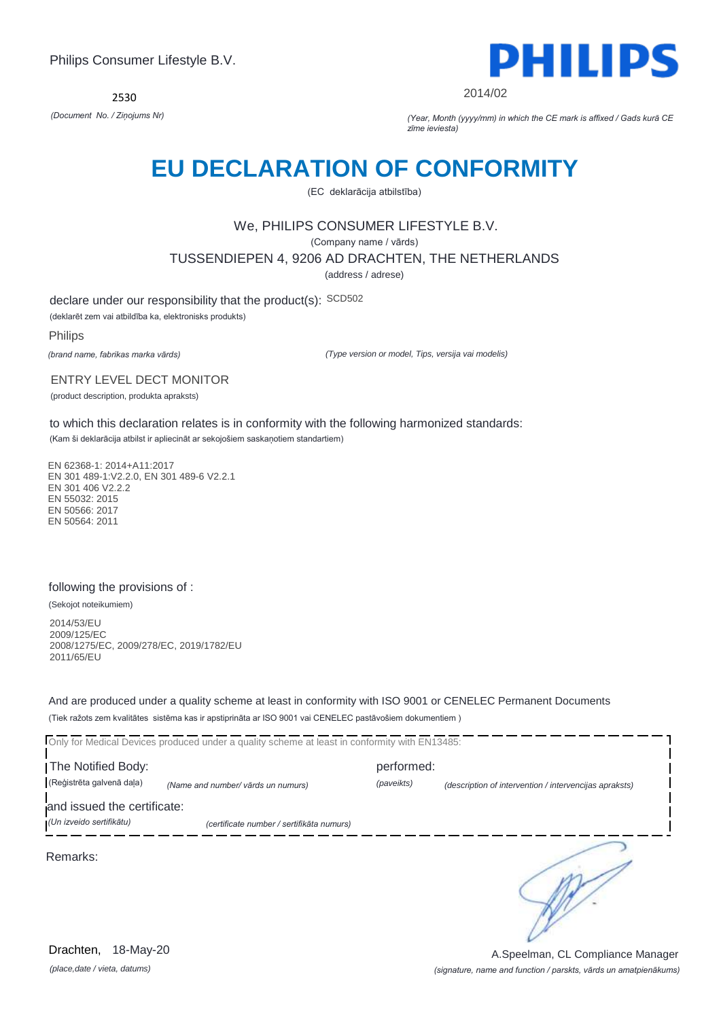2530



2014/02

*(Document No. / Ziņojums Nr) (Year, Month (yyyy/mm) in which the CE mark is affixed / Gads kurā CE zīme ieviesta)*

# **EU DECLARATION OF CONFORMITY**

(EC deklarācija atbilstība)

# We, PHILIPS CONSUMER LIFESTYLE B.V.

(Company name / vārds)

TUSSENDIEPEN 4, 9206 AD DRACHTEN, THE NETHERLANDS

(address / adrese)

declare under our responsibility that the product(s): SCD502

(deklarēt zem vai atbildība ka, elektronisks produkts)

Philips

*(brand name, fabrikas marka vārds)*

*(Type version or model, Tips, versija vai modelis)*

ENTRY LEVEL DECT MONITOR

(product description, produkta apraksts)

to which this declaration relates is in conformity with the following harmonized standards: (Kam ši deklarācija atbilst ir apliecināt ar sekojošiem saskaņotiem standartiem)

EN 62368-1: 2014+A11:2017 EN 301 489-1:V2.2.0, EN 301 489-6 V2.2.1 EN 301 406 V2.2.2 EN 55032: 2015 EN 50566: 2017 EN 50564: 2011

### following the provisions of :

(Sekojot noteikumiem)

2014/53/EU 2009/125/EC 2008/1275/EC, 2009/278/EC, 2019/1782/EU 2011/65/EU

And are produced under a quality scheme at least in conformity with ISO 9001 or CENELEC Permanent Documents (Tiek ražots zem kvalitātes sistēma kas ir apstiprināta ar ISO 9001 vai CENELEC pastāvošiem dokumentiem )

|                             | Only for Medical Devices produced under a quality scheme at least in conformity with EN13485: |            |                                                        |
|-----------------------------|-----------------------------------------------------------------------------------------------|------------|--------------------------------------------------------|
| The Notified Body:          |                                                                                               | performed: |                                                        |
| (Reģistrēta galvenā daļa)   | (Name and number/ vārds un numurs)                                                            | (paveikts) | (description of intervention / intervencijas apraksts) |
| and issued the certificate: |                                                                                               |            |                                                        |
| (Un izveido sertifikātu)    | (certificate number / sertifikāta numurs)                                                     |            |                                                        |
| Remarks:                    |                                                                                               |            |                                                        |

*(place,date / vieta, datums)* Drachten, 18-May-20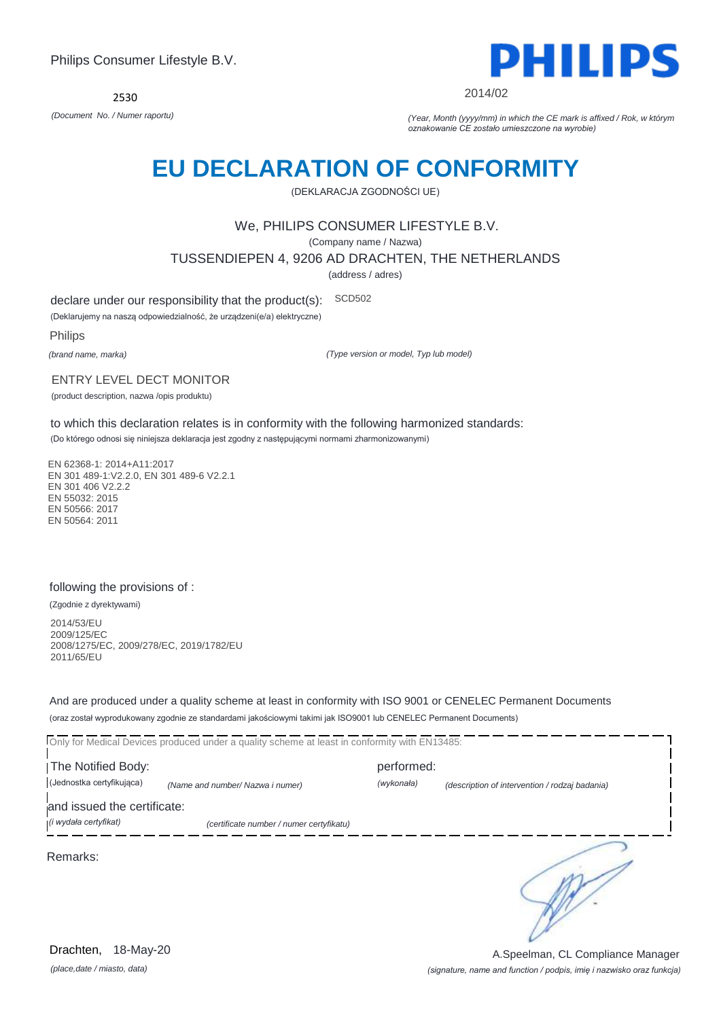

2014/02

*(Document No. / Numer raportu) (Year, Month (yyyy/mm) in which the CE mark is affixed / Rok, w którym oznakowanie CE zostało umieszczone na wyrobie)*

# **EU DECLARATION OF CONFORMITY**

(DEKLARACJA ZGODNOŚCI UE)

# We, PHILIPS CONSUMER LIFESTYLE B.V.

(Company name / Nazwa)

TUSSENDIEPEN 4, 9206 AD DRACHTEN, THE NETHERLANDS

(address / adres)

declare under our responsibility that the product(s): SCD502

(Deklarujemy na naszą odpowiedzialność, że urządzeni(e/a) elektryczne)

Philips

*(brand name, marka)*

*(Type version or model, Typ lub model)*

#### ENTRY LEVEL DECT MONITOR

(product description, nazwa /opis produktu)

to which this declaration relates is in conformity with the following harmonized standards:

(Do którego odnosi się niniejsza deklaracja jest zgodny z następującymi normami zharmonizowanymi)

EN 62368-1: 2014+A11:2017 EN 301 489-1:V2.2.0, EN 301 489-6 V2.2.1 EN 301 406 V2.2.2 EN 55032: 2015 EN 50566: 2017 EN 50564: 2011

### following the provisions of :

(Zgodnie z dyrektywami)

2014/53/EU 2009/125/EC 2008/1275/EC, 2009/278/EC, 2019/1782/EU 2011/65/EU

And are produced under a quality scheme at least in conformity with ISO 9001 or CENELEC Permanent Documents (oraz został wyprodukowany zgodnie ze standardami jakościowymi takimi jak ISO9001 lub CENELEC Permanent Documents)

Only for Medical Devices produced under a quality scheme at least in conformity with EN13485: The Notified Body: performed: (Jednostka certyfikująca) *(Name and number/ Nazwa i numer) (wykonała) (description of intervention / rodzaj badania)*  and issued the certificate: *(i wydała certyfikat) (certificate number / numer certyfikatu)* ∍ Remarks:

*(place,date / miasto, data)* Drachten, 18-May-20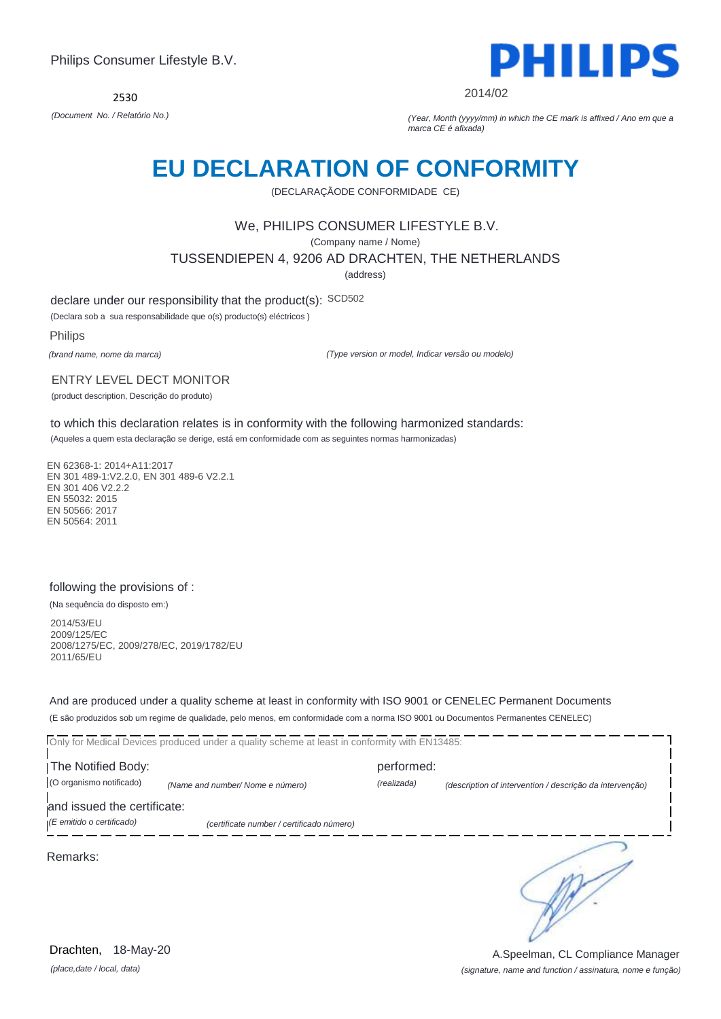2530



2014/02

*(Document No. / Relatório No.) (Year, Month (yyyy/mm) in which the CE mark is affixed / Ano em que a marca CE é afixada)*

# **EU DECLARATION OF CONFORMITY**

(DECLARAÇÃODE CONFORMIDADE CE)

# We, PHILIPS CONSUMER LIFESTYLE B.V.

(Company name / Nome)

TUSSENDIEPEN 4, 9206 AD DRACHTEN, THE NETHERLANDS

(address)

declare under our responsibility that the product(s): SCD502

(Declara sob a sua responsabilidade que o(s) producto(s) eléctricos )

Philips

*(brand name, nome da marca)*

*(Type version or model, Indicar versão ou modelo)*

#### ENTRY LEVEL DECT MONITOR

(product description, Descrição do produto)

to which this declaration relates is in conformity with the following harmonized standards:

(Aqueles a quem esta declaração se derige, está em conformidade com as seguintes normas harmonizadas)

EN 62368-1: 2014+A11:2017 EN 301 489-1:V2.2.0, EN 301 489-6 V2.2.1 EN 301 406 V2.2.2 EN 55032: 2015 EN 50566: 2017 EN 50564: 2011

### following the provisions of :

(Na sequência do disposto em:)

2014/53/EU 2009/125/EC 2008/1275/EC, 2009/278/EC, 2019/1782/EU 2011/65/EU

And are produced under a quality scheme at least in conformity with ISO 9001 or CENELEC Permanent Documents (E são produzidos sob um regime de qualidade, pelo menos, em conformidade com a norma ISO 9001 ou Documentos Permanentes CENELEC)

Only for Medical Devices produced under a quality scheme at least in conformity with EN13485: The Notified Body: performed: (O organismo notificado) *(Name and number/ Nome e número) (realizada) (description of intervention / descrição da intervenção)*  and issued the certificate: *(E emitido o certificado) (certificate number / certificado número)* ∍ Remarks:

*(place,date / local, data)* Drachten, 18-May-20

*(signature, name and function / assinatura, nome e função)* A.Speelman, CL Compliance Manager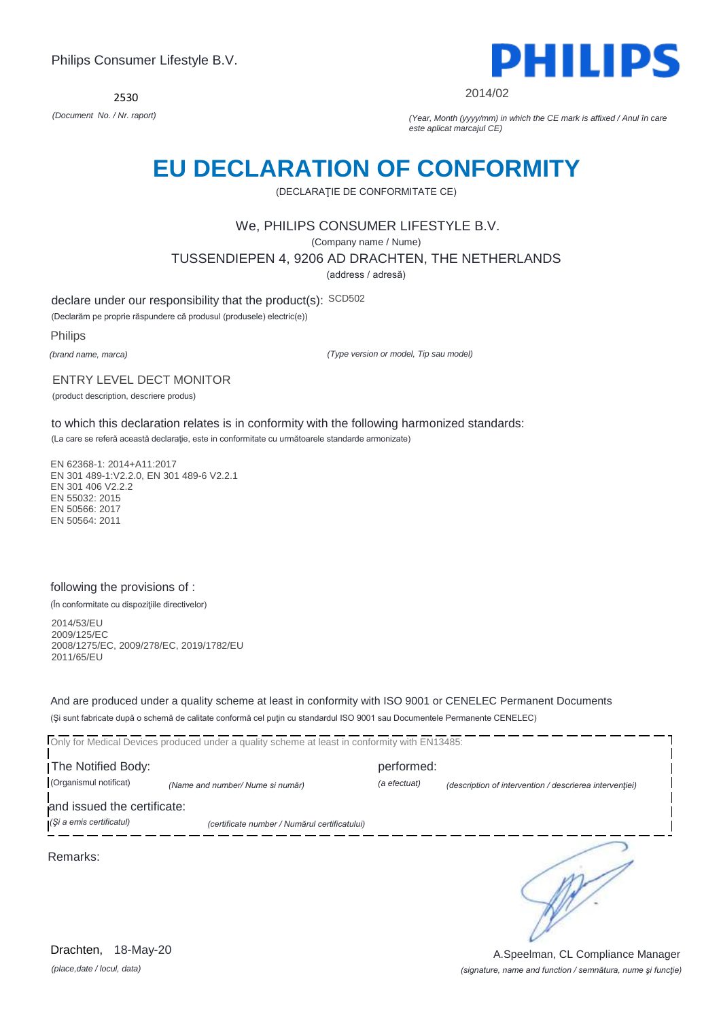2530



2014/02

*(Document No. / Nr. raport) (Year, Month (yyyy/mm) in which the CE mark is affixed / Anul în care este aplicat marcajul CE)*

# **EU DECLARATION OF CONFORMITY**

(DECLARAŢIE DE CONFORMITATE CE)

# We, PHILIPS CONSUMER LIFESTYLE B.V.

(Company name / Nume)

TUSSENDIEPEN 4, 9206 AD DRACHTEN, THE NETHERLANDS

(address / adresă)

declare under our responsibility that the product(s): SCD502

(Declarăm pe proprie răspundere că produsul (produsele) electric(e))

Philips

*(brand name, marca)*

*(Type version or model, Tip sau model)*

#### ENTRY LEVEL DECT MONITOR

(product description, descriere produs)

to which this declaration relates is in conformity with the following harmonized standards:

(La care se referă această declaraţie, este in conformitate cu următoarele standarde armonizate)

EN 62368-1: 2014+A11:2017 EN 301 489-1:V2.2.0, EN 301 489-6 V2.2.1 EN 301 406 V2.2.2 EN 55032: 2015 EN 50566: 2017 EN 50564: 2011

### following the provisions of :

(În conformitate cu dispoziţiile directivelor)

2014/53/EU 2009/125/EC 2008/1275/EC, 2009/278/EC, 2019/1782/EU 2011/65/EU

And are produced under a quality scheme at least in conformity with ISO 9001 or CENELEC Permanent Documents (Şi sunt fabricate după o schemă de calitate conformă cel puţin cu standardul ISO 9001 sau Documentele Permanente CENELEC)

|                             | Only for Medical Devices produced under a quality scheme at least in conformity with EN13485: |              |                                                         |
|-----------------------------|-----------------------------------------------------------------------------------------------|--------------|---------------------------------------------------------|
| The Notified Body:          |                                                                                               | performed:   |                                                         |
| (Organismul notificat)      | (Name and number/ Nume si număr)                                                              | (a efectuat) | (description of intervention / descrierea interventiei) |
| and issued the certificate: |                                                                                               |              |                                                         |
| (Și a emis certificatul)    | (certificate number / Numărul certificatului)                                                 |              |                                                         |
| Remarks:                    |                                                                                               |              |                                                         |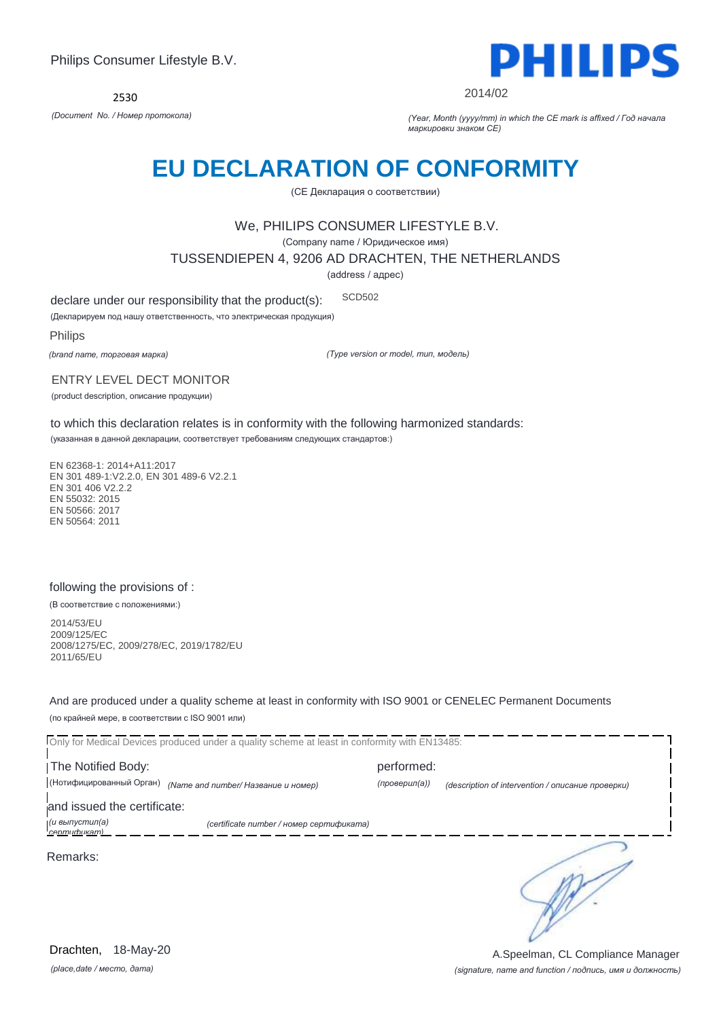

2014/02

*(Document No. / Номер протокола) (Year, Month (yyyy/mm) in which the CE mark is affixed / Год начала маркировки знаком CE)*

# **EU DECLARATION OF CONFORMITY**

(CE Декларация о соответствии)

### We, PHILIPS CONSUMER LIFESTYLE B.V.

(Company name / Юридическое имя)

TUSSENDIEPEN 4, 9206 AD DRACHTEN, THE NETHERLANDS

(address / адрес)

declare under our responsibility that the product(s): SCD502

(Декларируем под нашу ответственность, что электрическая продукция)

Philips

*(brand name, торговая марка)*

*(Type version or model, тип, модель)*

#### ENTRY LEVEL DECT MONITOR

(product description, описание продукции)

to which this declaration relates is in conformity with the following harmonized standards:

(указанная в данной декларации, соответствует требованиям следующих стандартов:)

EN 62368-1: 2014+A11:2017 EN 301 489-1:V2.2.0, EN 301 489-6 V2.2.1 EN 301 406 V2.2.2 EN 55032: 2015 EN 50566: 2017 EN 50564: 2011

### following the provisions of :

(В соответствие с положениями:)

2014/53/EU 2009/125/EC 2008/1275/EC, 2009/278/EC, 2019/1782/EU 2011/65/EU

And are produced under a quality scheme at least in conformity with ISO 9001 or CENELEC Permanent Documents (по крайней мере, в соответствии с ISO 9001 или)

Only for Medical Devices produced under a quality scheme at least in conformity with EN13485: The Notified Body: performed: (Нотифицированный Орган) *(Name and number/ Название и номер) (проверил(а)) (description of intervention / описание проверки)*  and issued the certificate: *(и выпустил(а) (certificate number / номер сертификата) сертификат)* ∍ Remarks:

*(place,date / место, дата)* Drachten, 18-May-20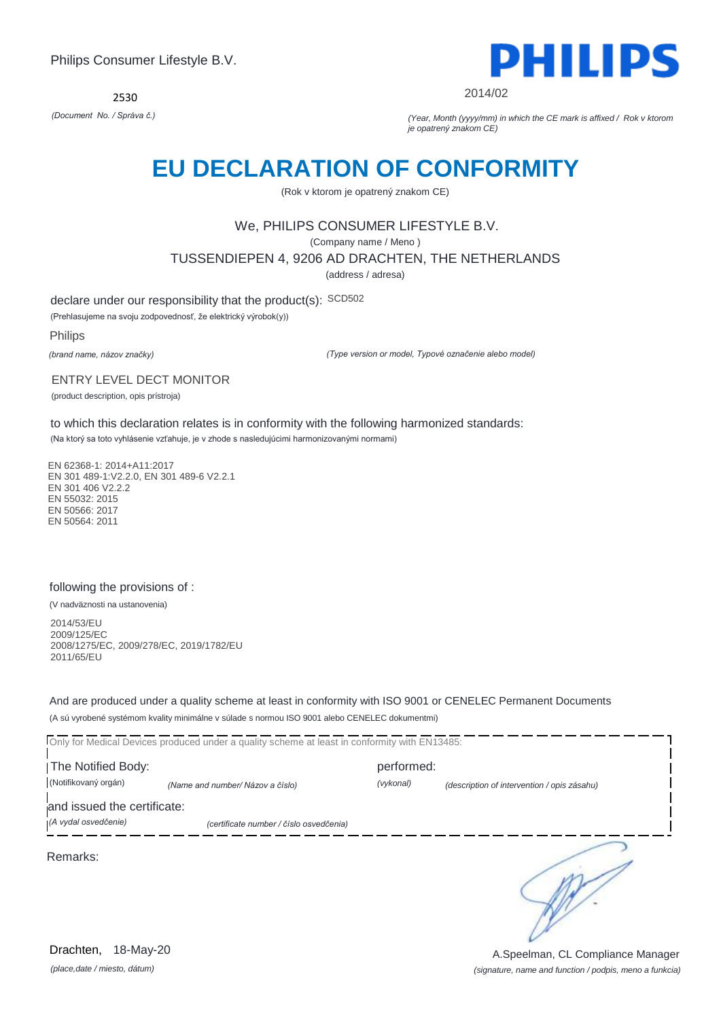2530



2014/02

*(Document No. / Správa č.) (Year, Month (yyyy/mm) in which the CE mark is affixed / Rok v ktorom je opatrený znakom CE)*

# **EU DECLARATION OF CONFORMITY**

(Rok v ktorom je opatrený znakom CE)

# We, PHILIPS CONSUMER LIFESTYLE B.V.

(Company name / Meno )

TUSSENDIEPEN 4, 9206 AD DRACHTEN, THE NETHERLANDS

(address / adresa)

declare under our responsibility that the product(s): SCD502

(Prehlasujeme na svoju zodpovednosť, že elektrický výrobok(y))

Philips

*(brand name, názov značky)*

*(Type version or model, Typové označenie alebo model)*

#### ENTRY LEVEL DECT MONITOR

(product description, opis prístroja)

to which this declaration relates is in conformity with the following harmonized standards:

(Na ktorý sa toto vyhlásenie vzťahuje, je v zhode s nasledujúcimi harmonizovanými normami)

EN 62368-1: 2014+A11:2017 EN 301 489-1:V2.2.0, EN 301 489-6 V2.2.1 EN 301 406 V2.2.2 EN 55032: 2015 EN 50566: 2017 EN 50564: 2011

### following the provisions of :

(V nadväznosti na ustanovenia)

2014/53/EU 2009/125/EC 2008/1275/EC, 2009/278/EC, 2019/1782/EU 2011/65/EU

And are produced under a quality scheme at least in conformity with ISO 9001 or CENELEC Permanent Documents (A sú vyrobené systémom kvality minimálne v súlade s normou ISO 9001 alebo CENELEC dokumentmi)

Only for Medical Devices produced under a quality scheme at least in conformity with EN13485: The Notified Body: performed: (Notifikovaný orgán) *(Name and number/ Názov a číslo) (vykonal) (description of intervention / opis zásahu)*  and issued the certificate: *(A vydal osvedčenie) (certificate number / číslo osvedčenia)* ∍ Remarks:

*(place,date / miesto, dátum)* Drachten, 18-May-20

*(signature, name and function / podpis, meno a funkcia)* A.Speelman, CL Compliance Manager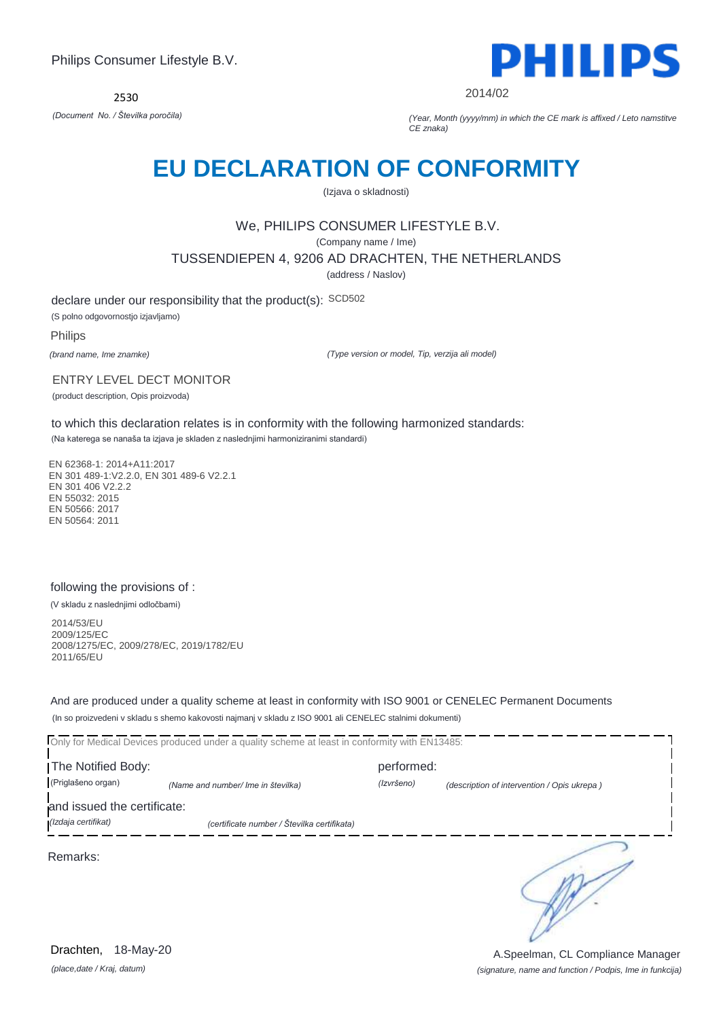

2014/02

*(Document No. / Številka poročila) (Year, Month (yyyy/mm) in which the CE mark is affixed / Leto namstitve CE znaka)*

# **EU DECLARATION OF CONFORMITY**

(Izjava o skladnosti)

# We, PHILIPS CONSUMER LIFESTYLE B.V.

(Company name / Ime)

TUSSENDIEPEN 4, 9206 AD DRACHTEN, THE NETHERLANDS

(address / Naslov)

declare under our responsibility that the product(s): SCD502 (S polno odgovornostjo izjavljamo)

Philips

*(brand name, Ime znamke)*

*(Type version or model, Tip, verzija ali model)*

#### ENTRY LEVEL DECT MONITOR

(product description, Opis proizvoda)

to which this declaration relates is in conformity with the following harmonized standards: (Na katerega se nanaša ta izjava je skladen z naslednjimi harmoniziranimi standardi)

EN 62368-1: 2014+A11:2017 EN 301 489-1:V2.2.0, EN 301 489-6 V2.2.1 EN 301 406 V2.2.2 EN 55032: 2015 EN 50566: 2017 EN 50564: 2011

### following the provisions of :

(V skladu z naslednjimi odločbami)

2014/53/EU 2009/125/EC 2008/1275/EC, 2009/278/EC, 2019/1782/EU 2011/65/EU

And are produced under a quality scheme at least in conformity with ISO 9001 or CENELEC Permanent Documents (In so proizvedeni v skladu s shemo kakovosti najmanj v skladu z ISO 9001 ali CENELEC stalnimi dokumenti)

Only for Medical Devices produced under a quality scheme at least in conformity with EN13485: The Notified Body: performed: (Priglašeno organ) *(Name and number/ Ime in številka) (Izvršeno) (description of intervention / Opis ukrepa )*  and issued the certificate: *(Izdaja certifikat) (certificate number / Številka certifikata)* ∍ Remarks:

*(place,date / Kraj, datum)* Drachten, 18-May-20

*(signature, name and function / Podpis, Ime in funkcija)* A.Speelman, CL Compliance Manager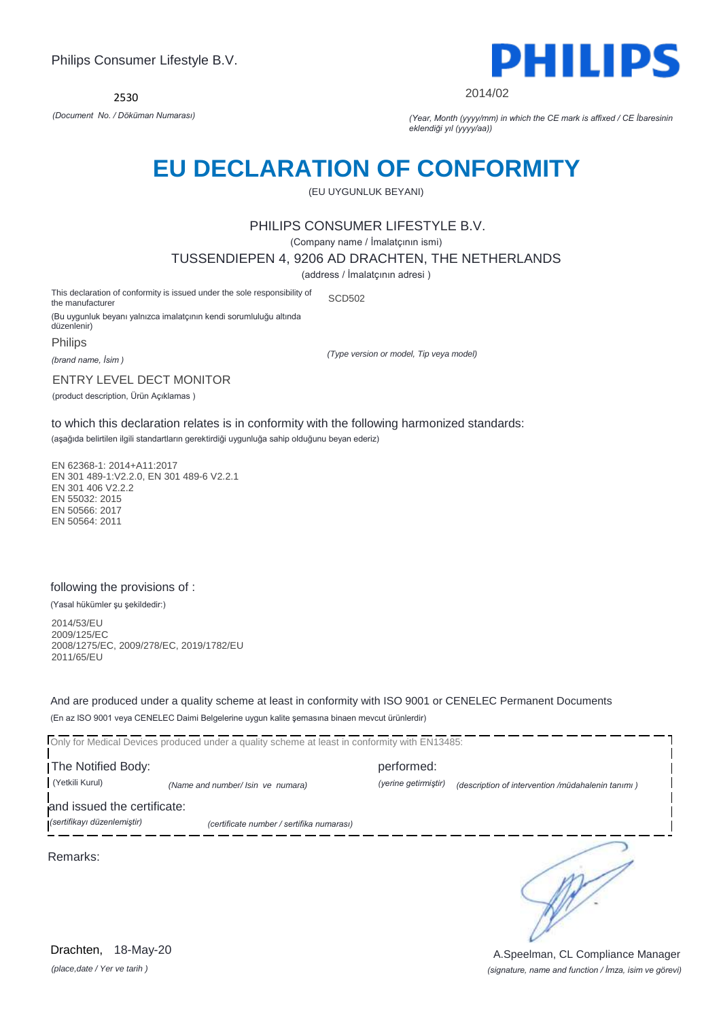

2014/02

*(Document No. / Döküman Numarası) (Year, Month (yyyy/mm) in which the CE mark is affixed / CE İbaresinin eklendiği yıl (yyyy/aa))*

# **EU DECLARATION OF CONFORMITY**

(EU UYGUNLUK BEYANI)

# PHILIPS CONSUMER LIFESTYLE B.V.

(Company name / İmalatçının ismi)

TUSSENDIEPEN 4, 9206 AD DRACHTEN, THE NETHERLANDS

(address / İmalatçının adresi )

This declaration of conformity is issued under the sole responsibility of the manufacturer SCD502

(Bu uygunluk beyanı yalnızca imalatçının kendi sorumluluğu altında düzenlenir)

**Philips** 

*(brand name, İsim )*

*(Type version or model, Tip veya model)*

ENTRY LEVEL DECT MONITOR

(product description, Ürün Açıklamas )

to which this declaration relates is in conformity with the following harmonized standards: (aşağıda belirtilen ilgili standartların gerektirdiği uygunluğa sahip olduğunu beyan ederiz)

EN 62368-1: 2014+A11:2017 EN 301 489-1:V2.2.0, EN 301 489-6 V2.2.1 EN 301 406 V2.2.2 EN 55032: 2015 EN 50566: 2017 EN 50564: 2011

### following the provisions of :

(Yasal hükümler şu şekildedir:)

2014/53/EU 2009/125/EC 2008/1275/EC, 2009/278/EC, 2019/1782/EU 2011/65/EU

And are produced under a quality scheme at least in conformity with ISO 9001 or CENELEC Permanent Documents (En az ISO 9001 veya CENELEC Daimi Belgelerine uygun kalite şemasına binaen mevcut ürünlerdir)

Only for Medical Devices produced under a quality scheme at least in conformity with EN13485:

The Notified Body: performed: (Yetkili Kurul) *(Name and number/ Isin ve numara) (yerine getirmiştir) (description of intervention /müdahalenin tanımı )* 

and issued the certificate:

*(sertifikayı düzenlemiştir) (certificate number / sertifika numarası)*

Remarks:

*(place,date / Yer ve tarih )* Drachten, 18-May-20

*(signature, name and function / İmza, isim ve görevi)* A.Speelman, CL Compliance Manager

∍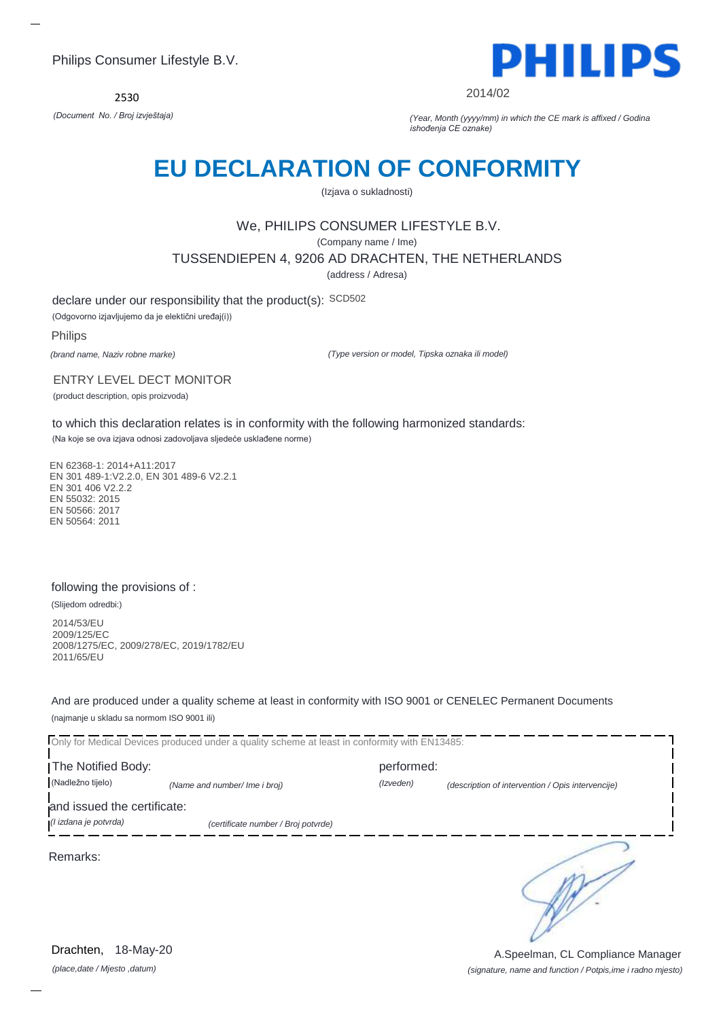2530



2014/02

*(Document No. / Broj izvještaja) (Year, Month (yyyy/mm) in which the CE mark is affixed / Godina ishođenja CE oznake)*

# **EU DECLARATION OF CONFORMITY**

(Izjava o sukladnosti)

# We, PHILIPS CONSUMER LIFESTYLE B.V.

(Company name / Ime)

TUSSENDIEPEN 4, 9206 AD DRACHTEN, THE NETHERLANDS

(address / Adresa)

declare under our responsibility that the product(s): SCD502

(Odgovorno izjavljujemo da je elektični uređaj(i))

Philips

*(brand name, Naziv robne marke)*

*(Type version or model, Tipska oznaka ili model)*

ENTRY LEVEL DECT MONITOR

(product description, opis proizvoda)

to which this declaration relates is in conformity with the following harmonized standards:

(Na koje se ova izjava odnosi zadovoljava sljedeće usklađene norme)

EN 62368-1: 2014+A11:2017 EN 301 489-1:V2.2.0, EN 301 489-6 V2.2.1 EN 301 406 V2.2.2 EN 55032: 2015 EN 50566: 2017 EN 50564: 2011

### following the provisions of :

(Slijedom odredbi:)

2014/53/EU 2009/125/EC 2008/1275/EC, 2009/278/EC, 2019/1782/EU 2011/65/EU

And are produced under a quality scheme at least in conformity with ISO 9001 or CENELEC Permanent Documents (najmanje u skladu sa normom ISO 9001 ili)

Only for Medical Devices produced under a quality scheme at least in conformity with EN13485:

I The Notified Body: The Notified Body: (Nadležno tijelo) *(Name and number/ Ime i broj) (Izveden) (description of intervention / Opis intervencije)* 

and issued the certificate:

*(I izdana je potvrda) (certificate number / Broj potvrde)*

Remarks:

*(place,date / Mjesto ,datum)* Drachten, 18-May-20

*(signature, name and function / Potpis,ime i radno mjesto)* A.Speelman, CL Compliance Manager

∍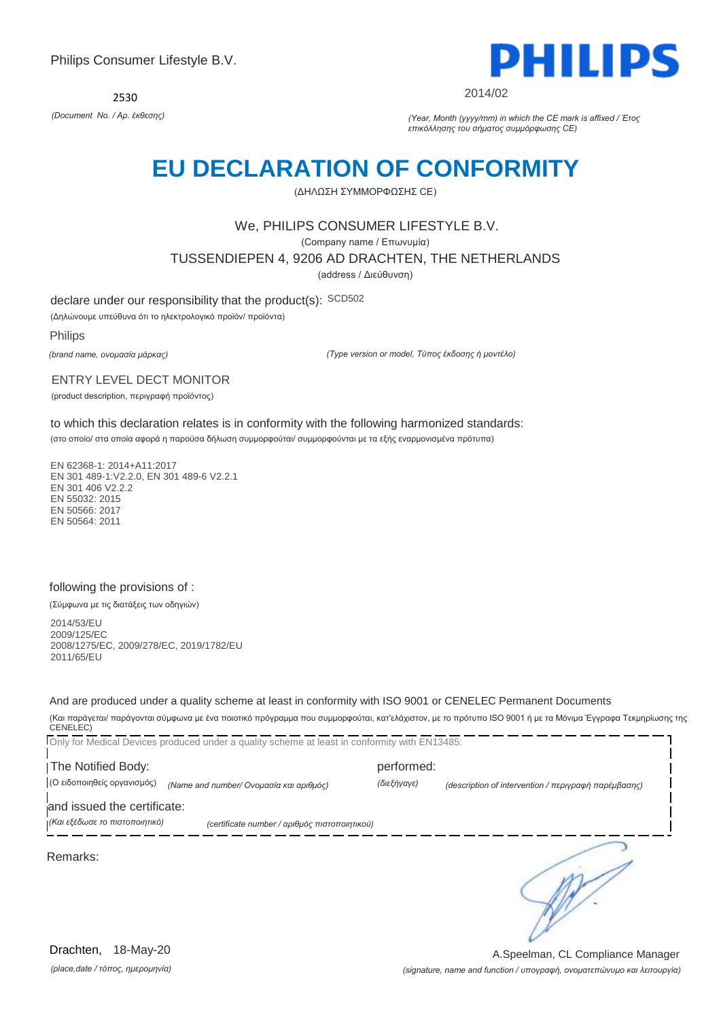2530



2014/02

*(Document No. / Αρ. έκθεσης) (Year, Month (yyyy/mm) in which the CE mark is affixed / Έτος επικόλλησης του σήματος συμμόρφωσης CE)*

# **EU DECLARATION OF CONFORMITY**

(ΔΗΛΩΣΗ ΣΥΜΜΟΡΦΩΣΗΣ CE)

### We, PHILIPS CONSUMER LIFESTYLE B.V.

(Company name / Επωνυμία)

TUSSENDIEPEN 4, 9206 AD DRACHTEN, THE NETHERLANDS

(address / Διεύθυνση)

declare under our responsibility that the product(s): SCD502

(Δηλώνουμε υπεύθυνα ότι το ηλεκτρολογικό προϊόν/ προϊόντα)

Philips

*(brand name, ονομασία μάρκας)*

*(Type version or model, Τύπος έκδοσης ή μοντέλο)*

#### ENTRY LEVEL DECT MONITOR

(product description, περιγραφή προϊόντος)

to which this declaration relates is in conformity with the following harmonized standards:

(στο οποίο/ στα οποία αφορά η παρούσα δήλωση συμμορφούται/ συμμορφούνται με τα εξής εναρμονισμένα πρότυπα)

EN 62368-1: 2014+A11:2017 EN 301 489-1:V2.2.0, EN 301 489-6 V2.2.1 EN 301 406 V2.2.2 EN 55032: 2015 EN 50566: 2017 EN 50564: 2011

### following the provisions of :

(Σύμφωνα με τις διατάξεις των οδηγιών)

2014/53/EU 2009/125/EC 2008/1275/EC, 2009/278/EC, 2019/1782/EU 2011/65/EU

And are produced under a quality scheme at least in conformity with ISO 9001 or CENELEC Permanent Documents

(Και παράγεται/ παράγονται σύμφωνα με ένα ποιοτικό πρόγραμμα που συμμορφούται, κατ'ελάχιστον, με το πρότυπο ISO 9001 ή με τα Μόνιμα Έγγραφα Τεκμηρίωσης της CENELEC)

Only for Medical Devices produced under a quality scheme at least in conformity with EN13485: The Notified Body: performed: (Ο ειδοποιηθείς οργανισμός) *(Name and number/ Ονομασία και αριθμός) (διεξήγαγε) (description of intervention / περιγραφή παρέμβασης)*  and issued the certificate: *(Και εξέδωσε το πιστοποιητικό) (certificate number / αριθμός πιστοποιητικού)* ∍ Remarks:

*(place,date / τόπος, ημερομηνία)* Drachten, 18-May-20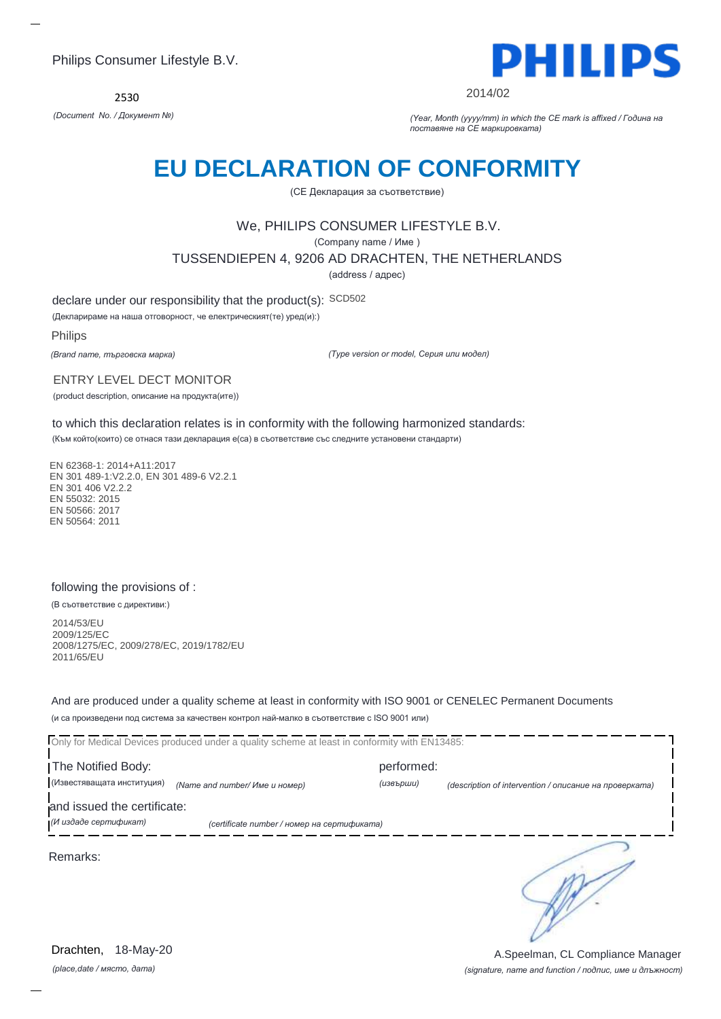2530



2014/02

*(Document No. / Документ №) (Year, Month (yyyy/mm) in which the CE mark is affixed / Година на поставяне на CE маркировката)*

# **EU DECLARATION OF CONFORMITY**

(CE Декларация за съответствие)

# We, PHILIPS CONSUMER LIFESTYLE B.V.

(Company name / Име )

TUSSENDIEPEN 4, 9206 AD DRACHTEN, THE NETHERLANDS

(address / адрес)

declare under our responsibility that the product(s): SCD502

(Декларираме на наша отговорност, че електрическият(те) уред(и):)

Philips

*(Brand name, търговска марка)*

*(Type version or model, Серия или модел)*

ENTRY LEVEL DECT MONITOR

(product description, описание на продукта(ите))

to which this declaration relates is in conformity with the following harmonized standards:

(Към който(които) се отнася тази декларация е(са) в съответствие със следните установени стандарти)

EN 62368-1: 2014+A11:2017 EN 301 489-1:V2.2.0, EN 301 489-6 V2.2.1 EN 301 406 V2.2.2 EN 55032: 2015 EN 50566: 2017 EN 50564: 2011

### following the provisions of :

(В съответствие с директиви:)

2014/53/EU 2009/125/EC 2008/1275/EC, 2009/278/EC, 2019/1782/EU 2011/65/EU

And are produced under a quality scheme at least in conformity with ISO 9001 or CENELEC Permanent Documents (и са произведени под система за качествен контрол най-малко в съответствие с ISO 9001 или)

Only for Medical Devices produced under a quality scheme at least in conformity with EN13485: I The Notified Body: performed: (Известяващата институция) *(Name and number/ Име и номер) (извърши) (description of intervention / описание на проверката)*  and issued the certificate: *(И издаде сертификат) (certificate number / номер на сертификата)* ∍ Remarks:

*(place,date / място, дата)* Drachten, 18-May-20